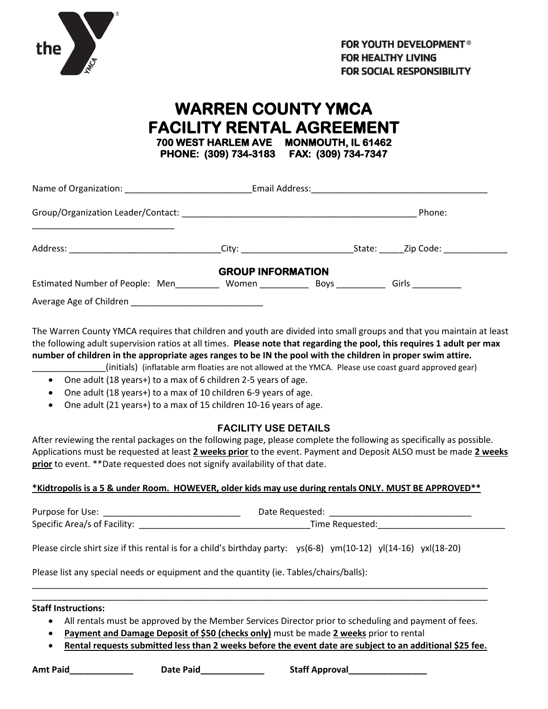

## **WARREN COUNTY YMCA FACILITY RENTAL AGREEMENT 700 WEST HARLEM AVE MONMOUTH, IL 61462 PHONE: (309) 734-3183 FAX: (309) 734-7347**

| Name of Organization: Name of Organization: |                          |                                                                                                                                                                                                                                    |                                                                                                                                                                                                                               |  |
|---------------------------------------------|--------------------------|------------------------------------------------------------------------------------------------------------------------------------------------------------------------------------------------------------------------------------|-------------------------------------------------------------------------------------------------------------------------------------------------------------------------------------------------------------------------------|--|
|                                             |                          |                                                                                                                                                                                                                                    | Phone:                                                                                                                                                                                                                        |  |
|                                             |                          |                                                                                                                                                                                                                                    | City: City: City: City: City: City: City: City: City: City: City: City: City: City: City: City: City: City: City: City: City: City: City: City: City: City: City: City: City: City: City: City: City: City: City: City: City: |  |
|                                             | <b>GROUP INFORMATION</b> |                                                                                                                                                                                                                                    |                                                                                                                                                                                                                               |  |
| Estimated Number of People: Men             | Women                    | <b>Boys</b> Provide the Second Second Second Second Second Second Second Second Second Second Second Second Second Second Second Second Second Second Second Second Second Second Second Second Second Second Second Second Second | Girls __________                                                                                                                                                                                                              |  |
| Average Age of Children                     |                          |                                                                                                                                                                                                                                    |                                                                                                                                                                                                                               |  |

The Warren County YMCA requires that children and youth are divided into small groups and that you maintain at least the following adult supervision ratios at all times. **Please note that regarding the pool, this requires 1 adult per max number of children in the appropriate ages ranges to be IN the pool with the children in proper swim attire.** 

- \_\_\_\_\_\_\_\_\_\_\_\_\_\_\_(initials) (inflatable arm floaties are not allowed at the YMCA. Please use coast guard approved gear)
- One adult (18 years+) to a max of 6 children 2-5 years of age.
- One adult (18 years+) to a max of 10 children 6-9 years of age.
- One adult (21 years+) to a max of 15 children 10-16 years of age.

#### **FACILITY USE DETAILS**

After reviewing the rental packages on the following page, please complete the following as specifically as possible. Applications must be requested at least **2 weeks prior** to the event. Payment and Deposit ALSO must be made **2 weeks prior** to event. \*\*Date requested does not signify availability of that date.

#### **\*Kidtropolis is a 5 & under Room. HOWEVER, older kids may use during rentals ONLY. MUST BE APPROVED\*\***

Purpose for Use: \_\_\_\_\_\_\_\_\_\_\_\_\_\_\_\_\_\_\_\_\_\_\_\_\_\_\_\_ Date Requested: \_\_\_\_\_\_\_\_\_\_\_\_\_\_\_\_\_\_\_\_\_\_\_\_\_\_\_\_\_ Specific Area/s of Facility: \_\_\_\_\_\_\_\_\_\_\_\_\_\_\_\_\_\_\_\_\_\_\_\_\_\_\_\_\_\_\_\_\_\_\_Time Requested:\_\_\_\_\_\_\_\_\_\_\_\_\_\_\_\_\_\_\_\_\_\_\_\_\_\_

Please circle shirt size if this rental is for a child's birthday party: ys(6-8) ym(10-12) yl(14-16) yxl(18-20)

Please list any special needs or equipment and the quantity (ie. Tables/chairs/balls):

**Staff Instructions:**

• All rentals must be approved by the Member Services Director prior to scheduling and payment of fees.

\_\_\_\_\_\_\_\_\_\_\_\_\_\_\_\_\_\_\_\_\_\_\_\_\_\_\_\_\_\_\_\_\_\_\_\_\_\_\_\_\_\_\_\_\_\_\_\_\_\_\_\_\_\_\_\_\_\_\_\_\_\_\_\_\_\_\_\_\_\_\_\_\_\_\_\_\_\_\_\_\_\_\_\_\_\_\_\_\_\_\_\_\_ \_\_\_\_\_\_\_\_\_\_\_\_\_\_\_\_\_\_\_\_\_\_\_\_\_\_\_\_\_\_\_\_\_\_\_\_\_\_\_\_\_\_\_\_\_\_\_\_\_\_\_\_\_\_\_\_\_\_\_\_\_\_\_\_\_\_\_\_\_\_\_\_\_\_\_\_\_\_\_\_\_\_\_\_\_\_\_\_\_\_\_\_\_

- **Payment and Damage Deposit of \$50 (checks only)** must be made **2 weeks** prior to rental
- **Rental requests submitted less than 2 weeks before the event date are subject to an additional \$25 fee.**